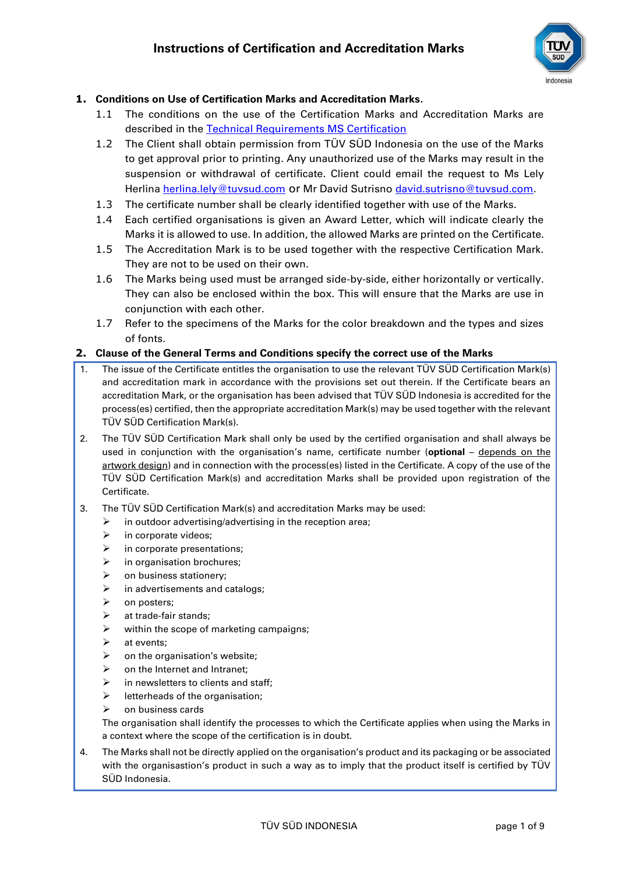

## **1. Conditions on Use of Certification Marks and Accreditation Marks.**

- 1.1 The conditions on the use of the Certification Marks and Accreditation Marks are described in the [Technical Requirements MS Certification](https://www.tuvsud.com/en-id/-/media/regions/id/pdf-files/t-and-c/testing-and-certification-regulations-tuv-sud-group.pdf?la=en-id&hash=CAB476D9C09CE0A0180D70DDD6C0A7C1)
- 1.2 The Client shall obtain permission from TÜV SÜD Indonesia on the use of the Marks to get approval prior to printing. Any unauthorized use of the Marks may result in the suspension or withdrawal of certificate. Client could email the request to Ms Lely Herlina [herlina.lely@tuvsud.com](mailto:herlina.lely@tuvsud.com) or Mr David Sutrisno [david.sutrisno@tuvsud.com.](mailto:david.sutrisno@tuvsud.com)
- 1.3 The certificate number shall be clearly identified together with use of the Marks.
- 1.4 Each certified organisations is given an Award Letter, which will indicate clearly the Marks it is allowed to use. In addition, the allowed Marks are printed on the Certificate.
- 1.5 The Accreditation Mark is to be used together with the respective Certification Mark. They are not to be used on their own.
- 1.6 The Marks being used must be arranged side-by-side, either horizontally or vertically. They can also be enclosed within the box. This will ensure that the Marks are use in conjunction with each other.
- 1.7 Refer to the specimens of the Marks for the color breakdown and the types and sizes of fonts.

### **2. Clause of the General Terms and Conditions specify the correct use of the Marks**

- 1. The issue of the Certificate entitles the organisation to use the relevant TÜV SÜD Certification Mark(s) and accreditation mark in accordance with the provisions set out therein. If the Certificate bears an accreditation Mark, or the organisation has been advised that TÜV SÜD Indonesia is accredited for the process(es) certified, then the appropriate accreditation Mark(s) may be used together with the relevant TÜV SÜD Certification Mark(s).
- 2. The TÜV SÜD Certification Mark shall only be used by the certified organisation and shall always be used in conjunction with the organisation's name, certificate number (optional - depends on the artwork design) and in connection with the process(es) listed in the Certificate. A copy of the use of the TÜV SÜD Certification Mark(s) and accreditation Marks shall be provided upon registration of the Certificate.
- 3. The TÜV SÜD Certification Mark(s) and accreditation Marks may be used:
	- $\triangleright$  in outdoor advertising/advertising in the reception area;
		- $\triangleright$  in corporate videos;
		- $\triangleright$  in corporate presentations;
		- in organisation brochures;
		- $\triangleright$  on business stationery;
		- $\triangleright$  in advertisements and catalogs;
		- ➢ on posters;
		- $\triangleright$  at trade-fair stands;
		- $\triangleright$  within the scope of marketing campaigns;
		- $\triangleright$  at events;
		- $\triangleright$  on the organisation's website;
		- $\triangleright$  on the Internet and Intranet;
		- $\triangleright$  in newsletters to clients and staff;
		- $\triangleright$  letterheads of the organisation;
		- $\triangleright$  on business cards

The organisation shall identify the processes to which the Certificate applies when using the Marks in a context where the scope of the certification is in doubt.

4. The Marks shall not be directly applied on the organisation's product and its packaging or be associated with the organisastion's product in such a way as to imply that the product itself is certified by TÜV SÜD Indonesia.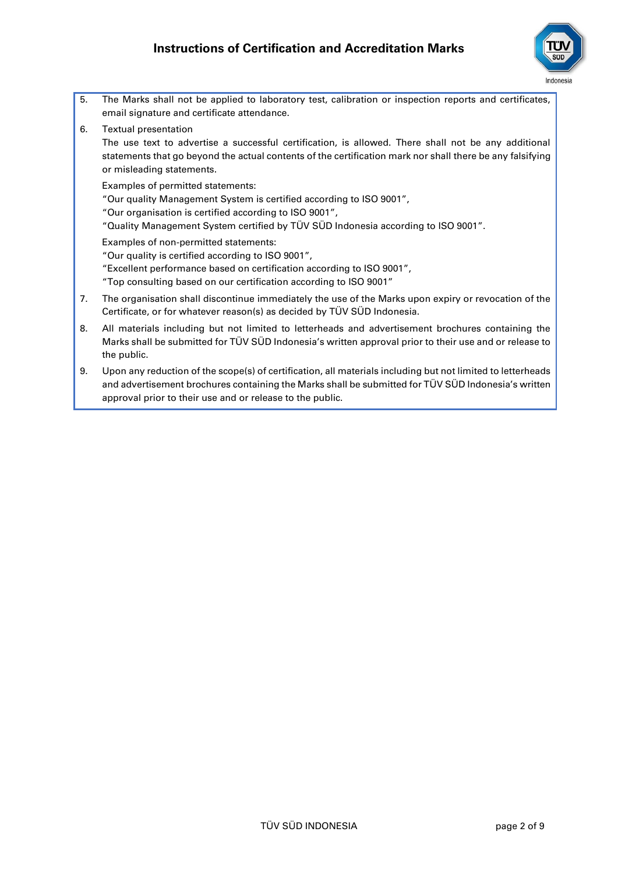

5. The Marks shall not be applied to laboratory test, calibration or inspection reports and certificates, email signature and certificate attendance. 6. Textual presentation

The use text to advertise a successful certification, is allowed. There shall not be any additional statements that go beyond the actual contents of the certification mark nor shall there be any falsifying or misleading statements.

Examples of permitted statements:

"Our quality Management System is certified according to ISO 9001",

"Our organisation is certified according to ISO 9001",

"Quality Management System certified by TÜV SÜD Indonesia according to ISO 9001".

Examples of non-permitted statements:

"Our quality is certified according to ISO 9001",

"Excellent performance based on certification according to ISO 9001",

"Top consulting based on our certification according to ISO 9001"

- 7. The organisation shall discontinue immediately the use of the Marks upon expiry or revocation of the Certificate, or for whatever reason(s) as decided by TÜV SÜD Indonesia.
- 8. All materials including but not limited to letterheads and advertisement brochures containing the Marks shall be submitted for TÜV SÜD Indonesia's written approval prior to their use and or release to the public.
- 9. Upon any reduction of the scope(s) of certification, all materials including but not limited to letterheads and advertisement brochures containing the Marks shall be submitted for TÜV SÜD Indonesia's written approval prior to their use and or release to the public.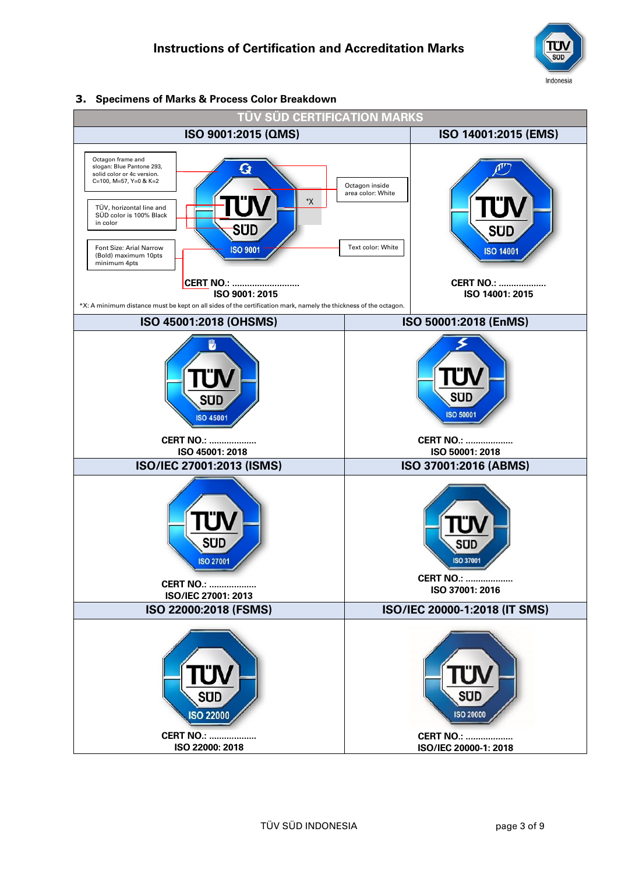

#### **3. Specimens of Marks & Process Color Breakdown**

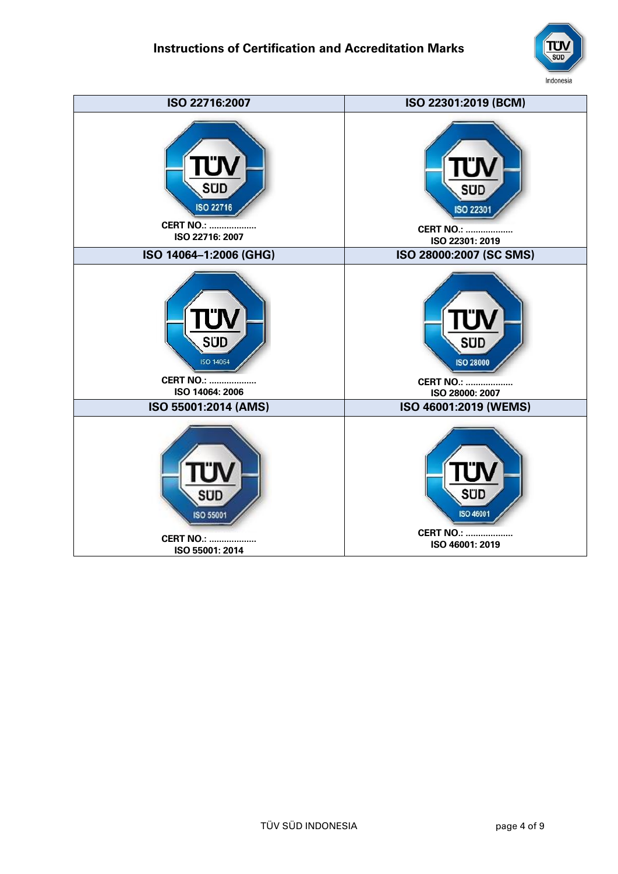

| ISO 22716:2007         | ISO 22301:2019 (BCM)    |
|------------------------|-------------------------|
| <b>SUD</b>             | sud                     |
| <b>ISO 22716</b>       | <b>ISO 22301</b>        |
| <b>CERT NO.: </b>      | <b>CERT NO.: </b>       |
| ISO 22716: 2007        | ISO 22301: 2019         |
| ISO 14064-1:2006 (GHG) | ISO 28000:2007 (SC SMS) |
| SÜD                    | <b>SUD</b>              |
| <b>ISO 14064</b>       | <b>ISO 28000</b>        |
| <b>CERT NO.: </b>      | <b>CERT NO.: </b>       |
| ISO 14064: 2006        | ISO 28000: 2007         |
| ISO 55001:2014 (AMS)   | ISO 46001:2019 (WEMS)   |
| 3U D                   | <b>SUD</b>              |
| ISO 55001              | <b>ISO 46001</b>        |
| <b>CERT NO.: </b>      | <b>CERT NO.: </b>       |
| ISO 55001: 2014        | ISO 46001: 2019         |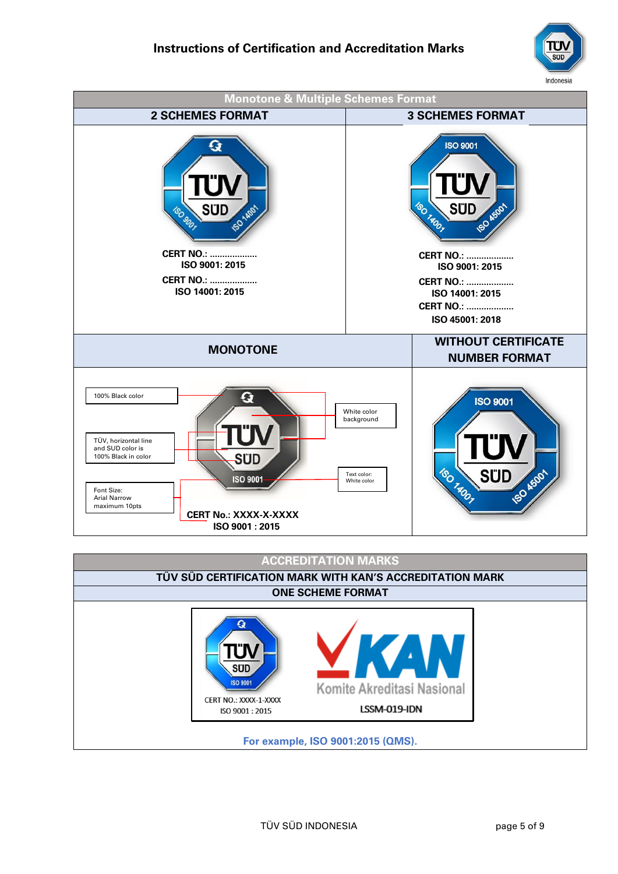



# **ACCREDITATION MARKS**

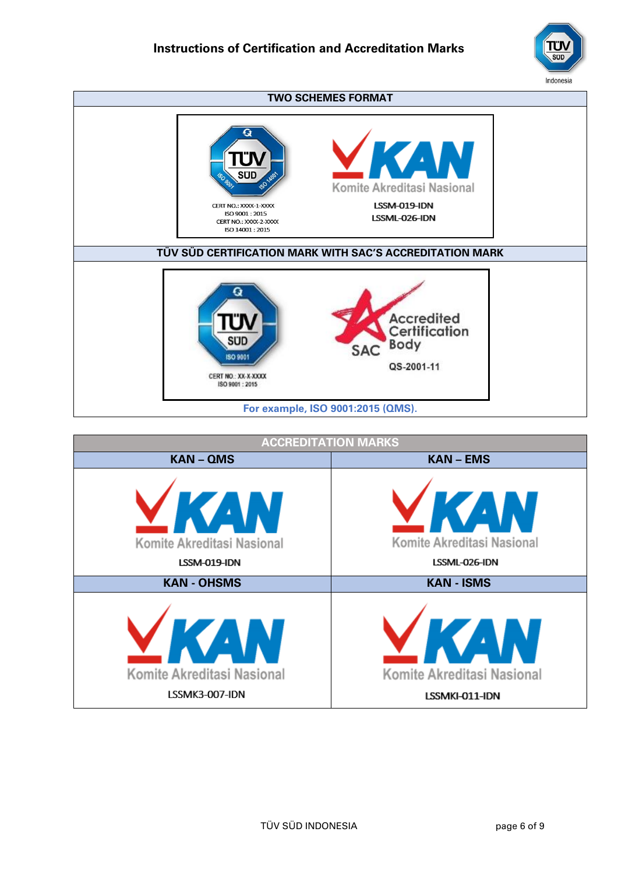



| <b>ACCREDITATION MARKS</b>                               |                                                                |
|----------------------------------------------------------|----------------------------------------------------------------|
| <b>KAN-QMS</b>                                           | <b>KAN-EMS</b>                                                 |
| <b>AV</b><br>Komite Akreditasi Nasional<br>LSSM-019-IDN  | æ,<br>Komite Akreditasi Nasional<br>LSSML-026-IDN              |
| <b>KAN - OHSMS</b>                                       | <b>KAN - ISMS</b>                                              |
| $\Delta$<br>Komite Akreditasi Nasional<br>LSSMK3-007-IDN | $\blacksquare$<br>Komite Akreditasi Nasional<br>LSSMKI-011-IDN |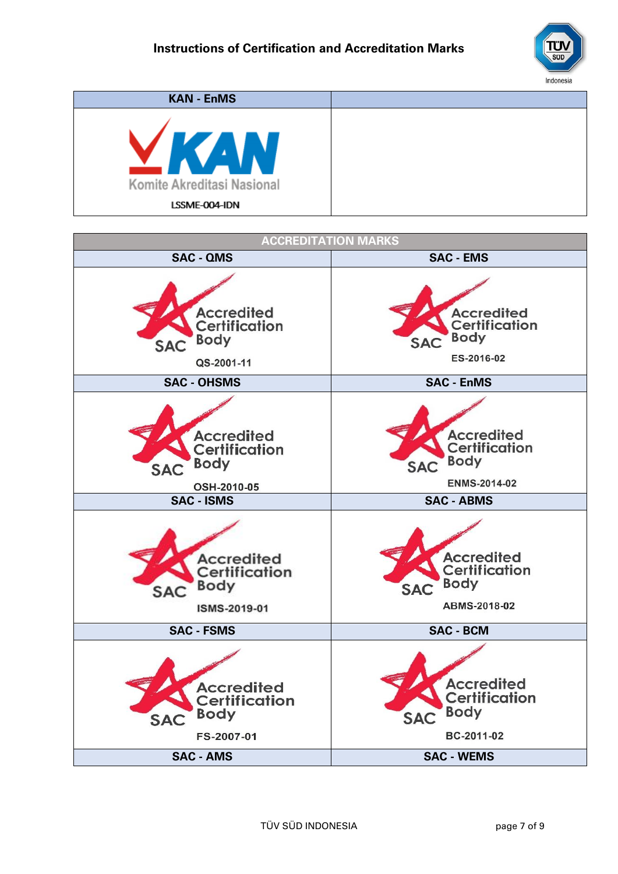

| <b>KAN - EnMS</b>          |  |
|----------------------------|--|
| Komite Akreditasi Nasional |  |
| LSSME-004-IDN              |  |

| <b>ACCREDITATION MARKS</b>                                                                               |                                                                                                           |  |
|----------------------------------------------------------------------------------------------------------|-----------------------------------------------------------------------------------------------------------|--|
| <b>SAC - QMS</b>                                                                                         | <b>SAC - EMS</b>                                                                                          |  |
| <b>Accredited</b><br><b>Certification</b><br><b>Body</b><br>SAC<br>QS-2001-11                            | <b>Accredited</b><br>Certification<br><b>Body</b><br><b>SAC</b><br>ES-2016-02                             |  |
| <b>SAC - OHSMS</b>                                                                                       | <b>SAC - EnMS</b>                                                                                         |  |
| <b>Accredited</b><br><b>Certification</b><br><b>Body</b><br><b>SAC</b><br>OSH-2010-05                    | <b>Accredited</b><br><b>Certification</b><br><b>Body</b><br><b>SAC</b><br><b>ENMS-2014-02</b>             |  |
| <b>SAC - ISMS</b>                                                                                        | <b>SAC - ABMS</b>                                                                                         |  |
| <b>Accredited</b><br>Certification<br><b>Body</b><br><b>SAC</b><br>ISMS-2019-01                          | <b>Accredited</b><br><b>Certification</b><br><b>Body</b><br><b>SAC</b><br>ABMS-2018-02                    |  |
| <b>SAC - FSMS</b>                                                                                        | <b>SAC - BCM</b>                                                                                          |  |
| <b>Accredited</b><br><b>Certification</b><br><b>Body</b><br><b>SAC</b><br>FS-2007-01<br><b>SAC - AMS</b> | <b>Accredited</b><br><b>Certification</b><br><b>Body</b><br><b>SAC</b><br>BC-2011-02<br><b>SAC - WEMS</b> |  |
|                                                                                                          |                                                                                                           |  |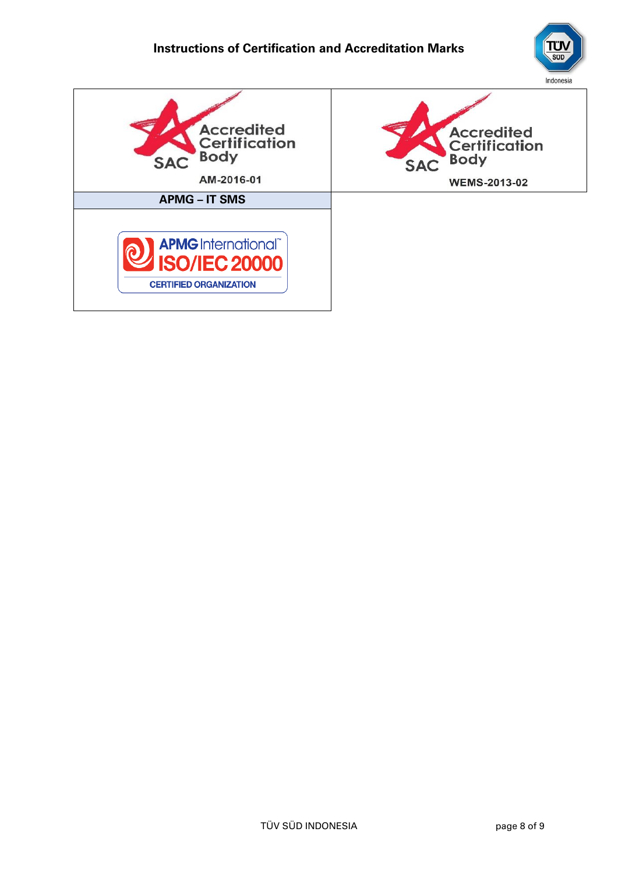